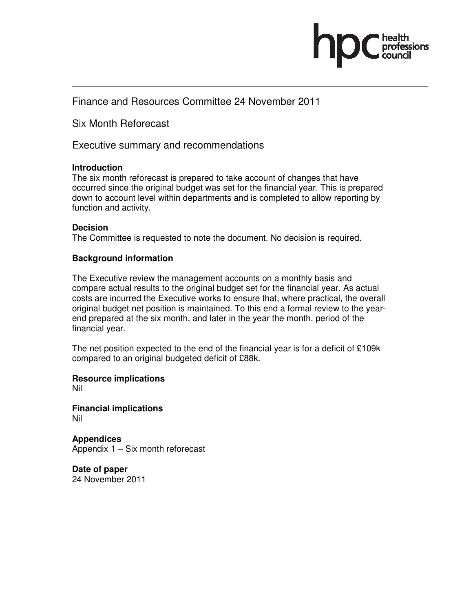

## Finance and Resources Committee 24 November 2011

Six Month Reforecast

Executive summary and recommendations

### **Introduction**

The six month reforecast is prepared to take account of changes that have occurred since the original budget was set for the financial year. This is prepared down to account level within departments and is completed to allow reporting by function and activity.

### **Decision**

The Committee is requested to note the document. No decision is required.

### **Background information**

The Executive review the management accounts on a monthly basis and compare actual results to the original budget set for the financial year. As actual costs are incurred the Executive works to ensure that, where practical, the overall original budget net position is maintained. To this end a formal review to the yearend prepared at the six month, and later in the year the month, period of the financial year.

The net position expected to the end of the financial year is for a deficit of £109k compared to an original budgeted deficit of £88k.

**Resource implications**  Nil

**Financial implications**  Nil

**Appendices**  Appendix 1 – Six month reforecast

**Date of paper**  24 November 2011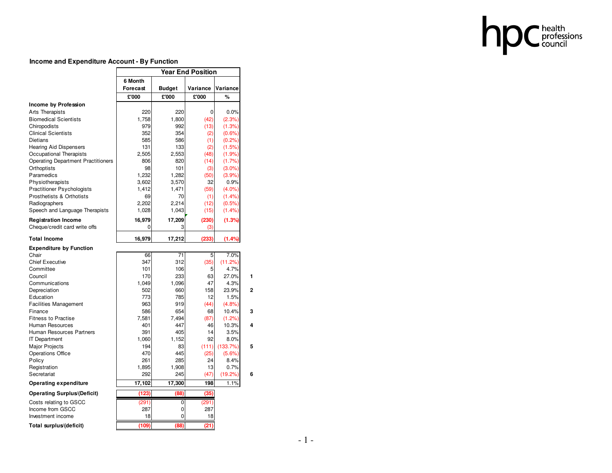

#### **Income and Expenditure Account - By Function**

|                                           | <b>Year End Position</b> |               |          |           |              |  |
|-------------------------------------------|--------------------------|---------------|----------|-----------|--------------|--|
|                                           | 6 Month                  |               |          |           |              |  |
|                                           | <b>Forecast</b>          | <b>Budget</b> | Variance | Variance  |              |  |
|                                           | £'000                    | £'000         | £'000    | %         |              |  |
| Income by Profession                      |                          |               |          |           |              |  |
| Arts Therapists                           | 220                      | 220           | $\Omega$ | 0.0%      |              |  |
| <b>Biomedical Scientists</b>              | 1.758                    | 1,800         | (42)     | (2.3%)    |              |  |
| Chiropodists                              | 979                      | 992           | (13)     | (1.3%)    |              |  |
| <b>Clinical Scientists</b>                | 352                      | 354           | (2)      | (0.6%     |              |  |
| <b>Dietians</b>                           | 585                      | 586           | (1)      | (0.2%     |              |  |
| <b>Hearing Aid Dispensers</b>             | 131                      | 133           | (2)      | (1.5%)    |              |  |
| Occupational Therapists                   | 2,505                    | 2,553         | (48)     | (1.9%     |              |  |
| <b>Operating Department Practitioners</b> | 806                      | 820           | (14)     | (1.7%)    |              |  |
| Orthoptists                               | 98                       | 101           | (3)      | $(3.0\%)$ |              |  |
| Paramedics                                | 1,232                    | 1,282         | (50)     | (3.9%)    |              |  |
| Physiotherapists                          | 3,602                    | 3,570         | 32       | 0.9%      |              |  |
| <b>Practitioner Psychologists</b>         | 1,412                    | 1,471         | (59)     | $(4.0\%)$ |              |  |
| Prosthetists & Orthotists                 | 69                       | 70            | (1)      | (1.4%     |              |  |
| Radiographers                             | 2,202                    | 2,214         | (12)     | (0.5%)    |              |  |
| Speech and Language Therapists            | 1,028                    | 1,043         | (15)     | (1.4%)    |              |  |
| <b>Registration Income</b>                | 16,979                   | 17,209        | (230)    | (1.3%)    |              |  |
| Cheque/credit card write offs             | 0                        | 3             | (3)      |           |              |  |
| <b>Total Income</b>                       | 16,979                   | 17,212        | (233)    | (1.4%     |              |  |
| <b>Expenditure by Function</b>            |                          |               |          |           |              |  |
| Chair                                     | 66                       | 71            | 5        | 7.0%      |              |  |
| <b>Chief Executive</b>                    | 347                      | 312           | (35)     | (11.2%)   |              |  |
| Committee                                 | 101                      | 106           | 5        | 4.7%      |              |  |
| Council                                   | 170                      | 233           | 63       | 27.0%     | 1            |  |
| Communications                            | 1,049                    | 1,096         | 47       | 4.3%      |              |  |
| Depreciation                              | 502                      | 660           | 158      | 23.9%     | $\mathbf{2}$ |  |
| Education                                 | 773                      | 785           | 12       | 1.5%      |              |  |
| <b>Facilities Management</b>              | 963                      | 919           | (44)     | (4.8%)    |              |  |
| Finance                                   | 586                      | 654           | 68       | 10.4%     | 3            |  |
| <b>Fitness to Practise</b>                | 7,581                    | 7,494         | (87)     | (1.2%)    |              |  |
| Human Resources                           | 401                      | 447           | 46       | 10.3%     | 4            |  |
| Human Resources Partners                  | 391                      | 405           | 14       | 3.5%      |              |  |
| <b>IT Department</b>                      | 1,060                    | 1,152         | 92       | 8.0%      |              |  |
| <b>Major Projects</b>                     | 194                      | 83            | (111)    | (133.7%)  | 5            |  |
| Operations Office                         | 470                      | 445           | (25)     | (5.6%)    |              |  |
| Policy                                    | 261                      | 285           | 24       | 8.4%      |              |  |
| Registration                              | 1,895                    | 1,908         | 13       | 0.7%      |              |  |
| Secretariat                               | 292                      | 245           | (47)     | (19.2%    | 6            |  |
| <b>Operating expenditure</b>              | 17,102                   | 17,300        | 198      | 1.1%      |              |  |
| <b>Operating Surplus/(Deficit)</b>        | (123)                    | (88)          | (35)     |           |              |  |
| Costs relating to GSCC                    | (291)                    | 0             | (291)    |           |              |  |
| Income from GSCC                          | 287                      | 0             | 287      |           |              |  |
| Investment income                         | 18                       | 0             | 18       |           |              |  |
| Total surplus/(deficit)                   | (109)                    | (88)          | (21)     |           |              |  |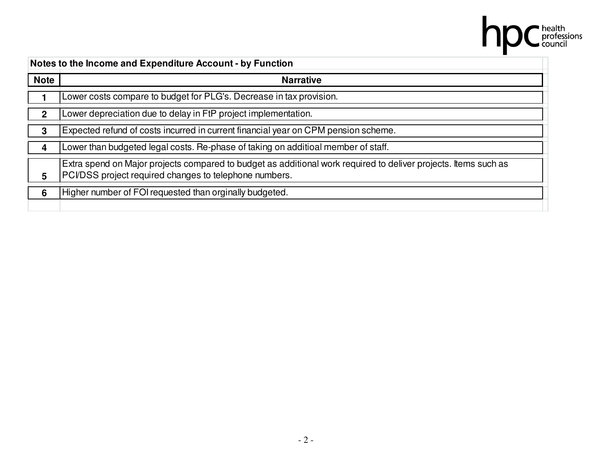|              | health<br>professions<br>council                                                                                                                                          |
|--------------|---------------------------------------------------------------------------------------------------------------------------------------------------------------------------|
|              | Notes to the Income and Expenditure Account - by Function                                                                                                                 |
| <b>Note</b>  | <b>Narrative</b>                                                                                                                                                          |
|              | Lower costs compare to budget for PLG's. Decrease in tax provision.                                                                                                       |
| $\mathbf{2}$ | Lower depreciation due to delay in FtP project implementation.                                                                                                            |
| 3            | Expected refund of costs incurred in current financial year on CPM pension scheme.                                                                                        |
| 4            | Lower than budgeted legal costs. Re-phase of taking on additioal member of staff.                                                                                         |
| 5            | Extra spend on Major projects compared to budget as additional work required to deliver projects. Items such as<br>PCI/DSS project required changes to telephone numbers. |
| 6            | Higher number of FOI requested than orginally budgeted.                                                                                                                   |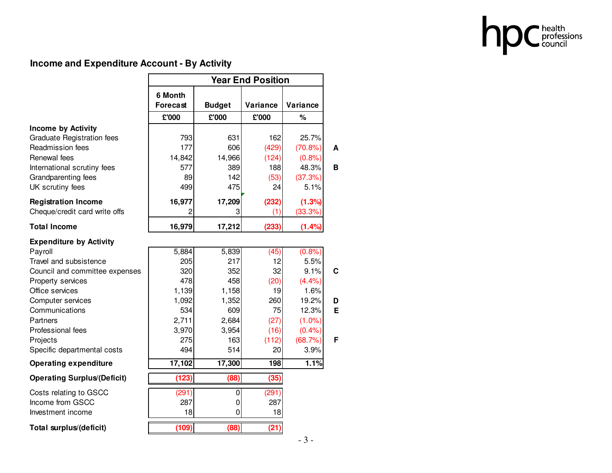

# **Income and Expenditure Account - By Activity**

|                                    | <b>Year End Position</b> |               |          |           |
|------------------------------------|--------------------------|---------------|----------|-----------|
|                                    | 6 Month                  |               |          |           |
|                                    | <b>Forecast</b>          | <b>Budget</b> | Variance | Variance  |
|                                    | £'000                    | £'000         | £'000    | $\%$      |
| <b>Income by Activity</b>          |                          |               |          |           |
| <b>Graduate Registration fees</b>  | 793                      | 631           | 162      | 25.7%     |
| Readmission fees                   | 177                      | 606           | (429)    | (70.8%)   |
| Renewal fees                       | 14,842                   | 14,966        | (124)    | (0.8% )   |
| International scrutiny fees        | 577                      | 389           | 188      | 48.3%     |
| Grandparenting fees                | 89                       | 142           | (53)     | (37.3%)   |
| UK scrutiny fees                   | 499                      | 475           | 24       | 5.1%      |
| <b>Registration Income</b>         | 16,977                   | 17,209        | (232)    | (1.3%)    |
| Cheque/credit card write offs      | 2                        | 3             | (1)      | (33.3%)   |
| <b>Total Income</b>                | 16,979                   | 17,212        | (233)    | (1.4%     |
| <b>Expenditure by Activity</b>     |                          |               |          |           |
| Payroll                            | 5,884                    | 5,839         | (45)     | (0.8%)    |
| Travel and subsistence             | 205                      | 217           | 12       | 5.5%      |
| Council and committee expenses     | 320                      | 352           | 32       | 9.1%      |
| Property services                  | 478                      | 458           | (20)     | (4.4%)    |
| Office services                    | 1,139                    | 1,158         | 19       | 1.6%      |
| Computer services                  | 1,092                    | 1,352         | 260      | 19.2%     |
| Communications                     | 534                      | 609           | 75       | 12.3%     |
| Partners                           | 2,711                    | 2,684         | (27)     | $(1.0\%)$ |
| Professional fees                  | 3,970                    | 3,954         | (16)     | (0.4% )   |
| Projects                           | 275                      | 163           | (112)    | (68.7%)   |
| Specific departmental costs        | 494                      | 514           | 20       | 3.9%      |
| <b>Operating expenditure</b>       | 17,102                   | 17,300        | 198      | 1.1%      |
| <b>Operating Surplus (Deficit)</b> | (123)                    | (88)          | (35)     |           |
| Costs relating to GSCC             | (291)                    | $\pmb{0}$     | (291)    |           |
| Income from GSCC                   | 287                      | $\pmb{0}$     | 287      |           |
| Investment income                  | 18                       | $\mathbf 0$   | 18       |           |
| Total surplus/(deficit)            | (109)                    | (88)          | (21)     |           |